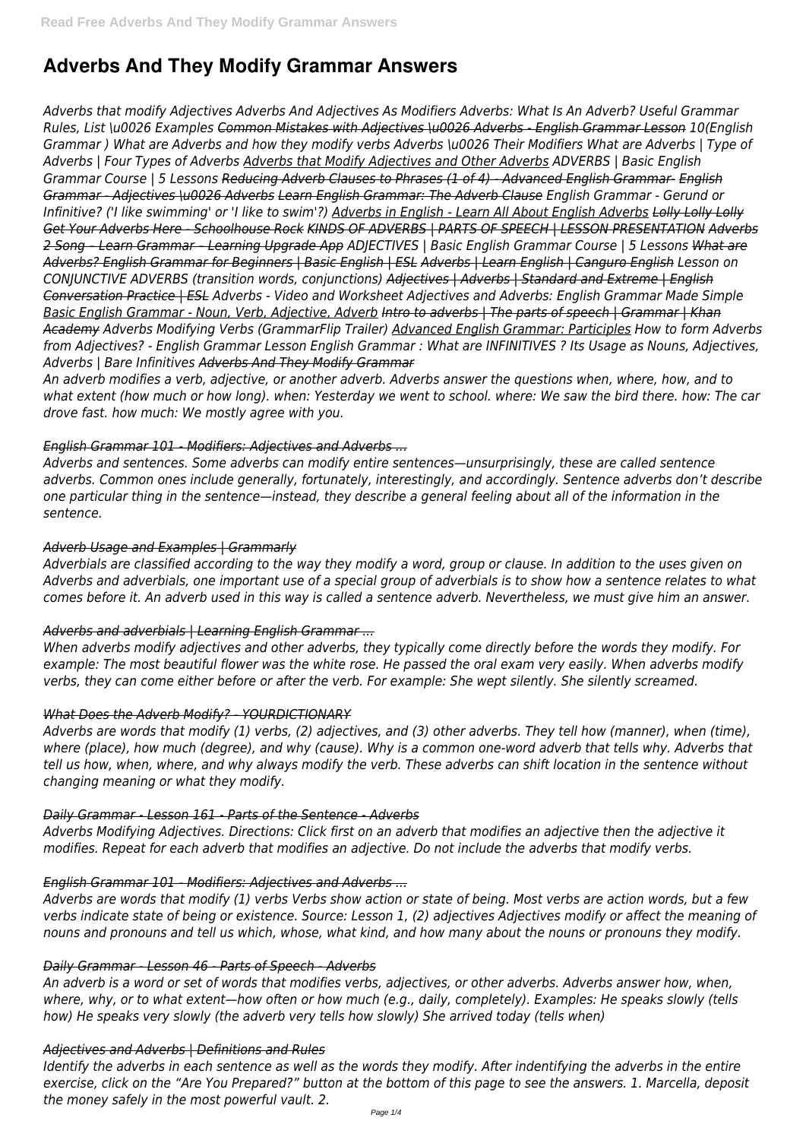# **Adverbs And They Modify Grammar Answers**

*Adverbs that modify Adjectives Adverbs And Adjectives As Modifiers Adverbs: What Is An Adverb? Useful Grammar Rules, List \u0026 Examples Common Mistakes with Adjectives \u0026 Adverbs - English Grammar Lesson 10(English Grammar ) What are Adverbs and how they modify verbs Adverbs \u0026 Their Modifiers What are Adverbs | Type of Adverbs | Four Types of Adverbs Adverbs that Modify Adjectives and Other Adverbs ADVERBS | Basic English Grammar Course | 5 Lessons Reducing Adverb Clauses to Phrases (1 of 4) - Advanced English Grammar- English Grammar - Adjectives \u0026 Adverbs Learn English Grammar: The Adverb Clause English Grammar - Gerund or Infinitive? ('I like swimming' or 'I like to swim'?) Adverbs in English - Learn All About English Adverbs Lolly Lolly Lolly Get Your Adverbs Here - Schoolhouse Rock KINDS OF ADVERBS | PARTS OF SPEECH | LESSON PRESENTATION Adverbs 2 Song – Learn Grammar – Learning Upgrade App ADJECTIVES | Basic English Grammar Course | 5 Lessons What are Adverbs? English Grammar for Beginners | Basic English | ESL Adverbs | Learn English | Canguro English Lesson on CONJUNCTIVE ADVERBS (transition words, conjunctions) Adjectives | Adverbs | Standard and Extreme | English Conversation Practice | ESL Adverbs - Video and Worksheet Adjectives and Adverbs: English Grammar Made Simple Basic English Grammar - Noun, Verb, Adjective, Adverb Intro to adverbs | The parts of speech | Grammar | Khan Academy Adverbs Modifying Verbs (GrammarFlip Trailer) Advanced English Grammar: Participles How to form Adverbs from Adjectives? - English Grammar Lesson English Grammar : What are INFINITIVES ? Its Usage as Nouns, Adjectives, Adverbs | Bare Infinitives Adverbs And They Modify Grammar*

*An adverb modifies a verb, adjective, or another adverb. Adverbs answer the questions when, where, how, and to what extent (how much or how long). when: Yesterday we went to school. where: We saw the bird there. how: The car drove fast. how much: We mostly agree with you.*

# *English Grammar 101 - Modifiers: Adjectives and Adverbs ...*

*Adverbs and sentences. Some adverbs can modify entire sentences—unsurprisingly, these are called sentence adverbs. Common ones include generally, fortunately, interestingly, and accordingly. Sentence adverbs don't describe one particular thing in the sentence—instead, they describe a general feeling about all of the information in the sentence.*

# *Adverb Usage and Examples | Grammarly*

*Adverbials are classified according to the way they modify a word, group or clause. In addition to the uses given on Adverbs and adverbials, one important use of a special group of adverbials is to show how a sentence relates to what comes before it. An adverb used in this way is called a sentence adverb. Nevertheless, we must give him an answer.*

# *Adverbs and adverbials | Learning English Grammar ...*

*When adverbs modify adjectives and other adverbs, they typically come directly before the words they modify. For example: The most beautiful flower was the white rose. He passed the oral exam very easily. When adverbs modify verbs, they can come either before or after the verb. For example: She wept silently. She silently screamed.*

#### *What Does the Adverb Modify? - YOURDICTIONARY*

*Adverbs are words that modify (1) verbs, (2) adjectives, and (3) other adverbs. They tell how (manner), when (time), where (place), how much (degree), and why (cause). Why is a common one-word adverb that tells why. Adverbs that tell us how, when, where, and why always modify the verb. These adverbs can shift location in the sentence without changing meaning or what they modify.*

# *Daily Grammar - Lesson 161 - Parts of the Sentence - Adverbs*

*Adverbs Modifying Adjectives. Directions: Click first on an adverb that modifies an adjective then the adjective it modifies. Repeat for each adverb that modifies an adjective. Do not include the adverbs that modify verbs.*

#### *English Grammar 101 - Modifiers: Adjectives and Adverbs ...*

*Adverbs are words that modify (1) verbs Verbs show action or state of being. Most verbs are action words, but a few verbs indicate state of being or existence. Source: Lesson 1, (2) adjectives Adjectives modify or affect the meaning of nouns and pronouns and tell us which, whose, what kind, and how many about the nouns or pronouns they modify.*

#### *Daily Grammar - Lesson 46 - Parts of Speech - Adverbs*

*An adverb is a word or set of words that modifies verbs, adjectives, or other adverbs. Adverbs answer how, when, where, why, or to what extent—how often or how much (e.g., daily, completely). Examples: He speaks slowly (tells how) He speaks very slowly (the adverb very tells how slowly) She arrived today (tells when)*

#### *Adjectives and Adverbs | Definitions and Rules*

*Identify the adverbs in each sentence as well as the words they modify. After indentifying the adverbs in the entire exercise, click on the "Are You Prepared?" button at the bottom of this page to see the answers. 1. Marcella, deposit the money safely in the most powerful vault. 2.*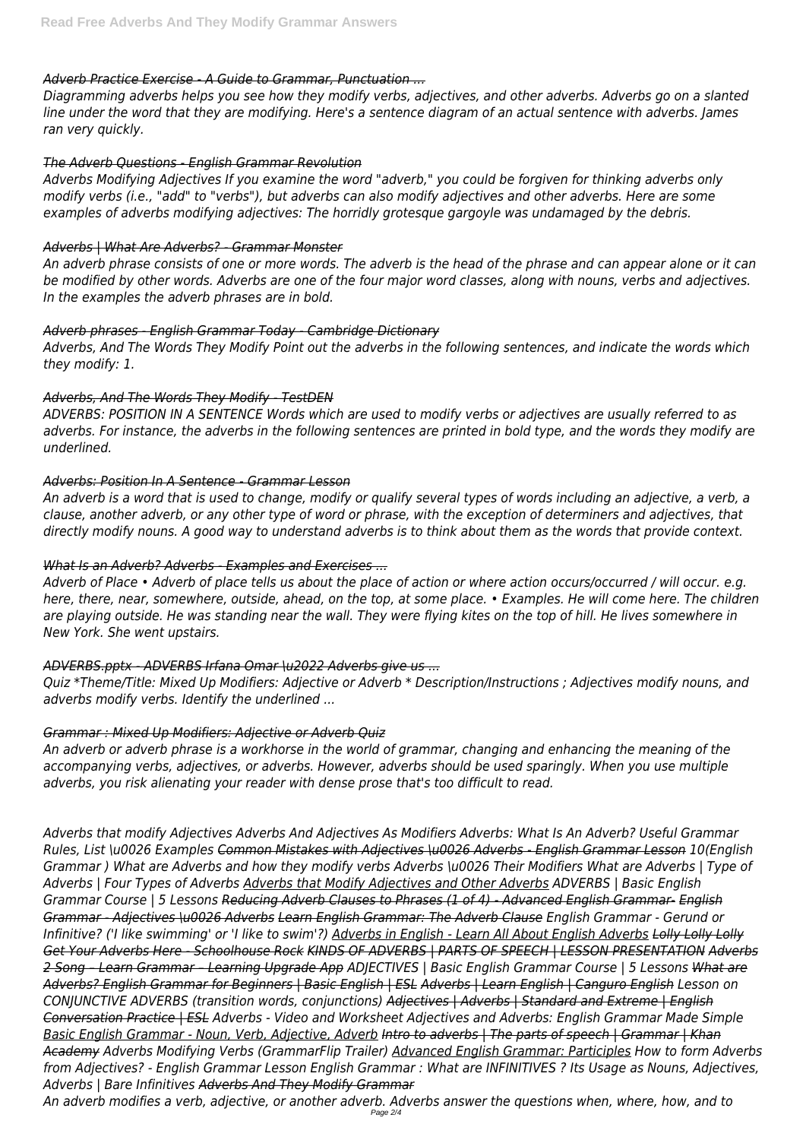# *Adverb Practice Exercise - A Guide to Grammar, Punctuation ...*

*Diagramming adverbs helps you see how they modify verbs, adjectives, and other adverbs. Adverbs go on a slanted line under the word that they are modifying. Here's a sentence diagram of an actual sentence with adverbs. James ran very quickly.*

# *The Adverb Questions - English Grammar Revolution*

*Adverbs Modifying Adjectives If you examine the word "adverb," you could be forgiven for thinking adverbs only modify verbs (i.e., "add" to "verbs"), but adverbs can also modify adjectives and other adverbs. Here are some examples of adverbs modifying adjectives: The horridly grotesque gargoyle was undamaged by the debris.*

## *Adverbs | What Are Adverbs? - Grammar Monster*

*An adverb phrase consists of one or more words. The adverb is the head of the phrase and can appear alone or it can be modified by other words. Adverbs are one of the four major word classes, along with nouns, verbs and adjectives. In the examples the adverb phrases are in bold.*

# *Adverb phrases - English Grammar Today - Cambridge Dictionary*

*Adverbs, And The Words They Modify Point out the adverbs in the following sentences, and indicate the words which they modify: 1.*

## *Adverbs, And The Words They Modify - TestDEN*

*ADVERBS: POSITION IN A SENTENCE Words which are used to modify verbs or adjectives are usually referred to as adverbs. For instance, the adverbs in the following sentences are printed in bold type, and the words they modify are underlined.*

## *Adverbs: Position In A Sentence - Grammar Lesson*

*An adverb is a word that is used to change, modify or qualify several types of words including an adjective, a verb, a clause, another adverb, or any other type of word or phrase, with the exception of determiners and adjectives, that directly modify nouns. A good way to understand adverbs is to think about them as the words that provide context.*

# *What Is an Adverb? Adverbs - Examples and Exercises ...*

*Adverb of Place • Adverb of place tells us about the place of action or where action occurs/occurred / will occur. e.g. here, there, near, somewhere, outside, ahead, on the top, at some place. • Examples. He will come here. The children are playing outside. He was standing near the wall. They were flying kites on the top of hill. He lives somewhere in New York. She went upstairs.*

# *ADVERBS.pptx - ADVERBS Irfana Omar \u2022 Adverbs give us ...*

*Quiz \*Theme/Title: Mixed Up Modifiers: Adjective or Adverb \* Description/Instructions ; Adjectives modify nouns, and adverbs modify verbs. Identify the underlined ...*

#### *Grammar : Mixed Up Modifiers: Adjective or Adverb Quiz*

*An adverb or adverb phrase is a workhorse in the world of grammar, changing and enhancing the meaning of the accompanying verbs, adjectives, or adverbs. However, adverbs should be used sparingly. When you use multiple adverbs, you risk alienating your reader with dense prose that's too difficult to read.*

*Adverbs that modify Adjectives Adverbs And Adjectives As Modifiers Adverbs: What Is An Adverb? Useful Grammar Rules, List \u0026 Examples Common Mistakes with Adjectives \u0026 Adverbs - English Grammar Lesson 10(English*

*Grammar ) What are Adverbs and how they modify verbs Adverbs \u0026 Their Modifiers What are Adverbs | Type of Adverbs | Four Types of Adverbs Adverbs that Modify Adjectives and Other Adverbs ADVERBS | Basic English Grammar Course | 5 Lessons Reducing Adverb Clauses to Phrases (1 of 4) - Advanced English Grammar- English Grammar - Adjectives \u0026 Adverbs Learn English Grammar: The Adverb Clause English Grammar - Gerund or Infinitive? ('I like swimming' or 'I like to swim'?) Adverbs in English - Learn All About English Adverbs Lolly Lolly Lolly Get Your Adverbs Here - Schoolhouse Rock KINDS OF ADVERBS | PARTS OF SPEECH | LESSON PRESENTATION Adverbs 2 Song – Learn Grammar – Learning Upgrade App ADJECTIVES | Basic English Grammar Course | 5 Lessons What are Adverbs? English Grammar for Beginners | Basic English | ESL Adverbs | Learn English | Canguro English Lesson on CONJUNCTIVE ADVERBS (transition words, conjunctions) Adjectives | Adverbs | Standard and Extreme | English Conversation Practice | ESL Adverbs - Video and Worksheet Adjectives and Adverbs: English Grammar Made Simple Basic English Grammar - Noun, Verb, Adjective, Adverb Intro to adverbs | The parts of speech | Grammar | Khan Academy Adverbs Modifying Verbs (GrammarFlip Trailer) Advanced English Grammar: Participles How to form Adverbs from Adjectives? - English Grammar Lesson English Grammar : What are INFINITIVES ? Its Usage as Nouns, Adjectives, Adverbs | Bare Infinitives Adverbs And They Modify Grammar An adverb modifies a verb, adjective, or another adverb. Adverbs answer the questions when, where, how, and to* Page 2/4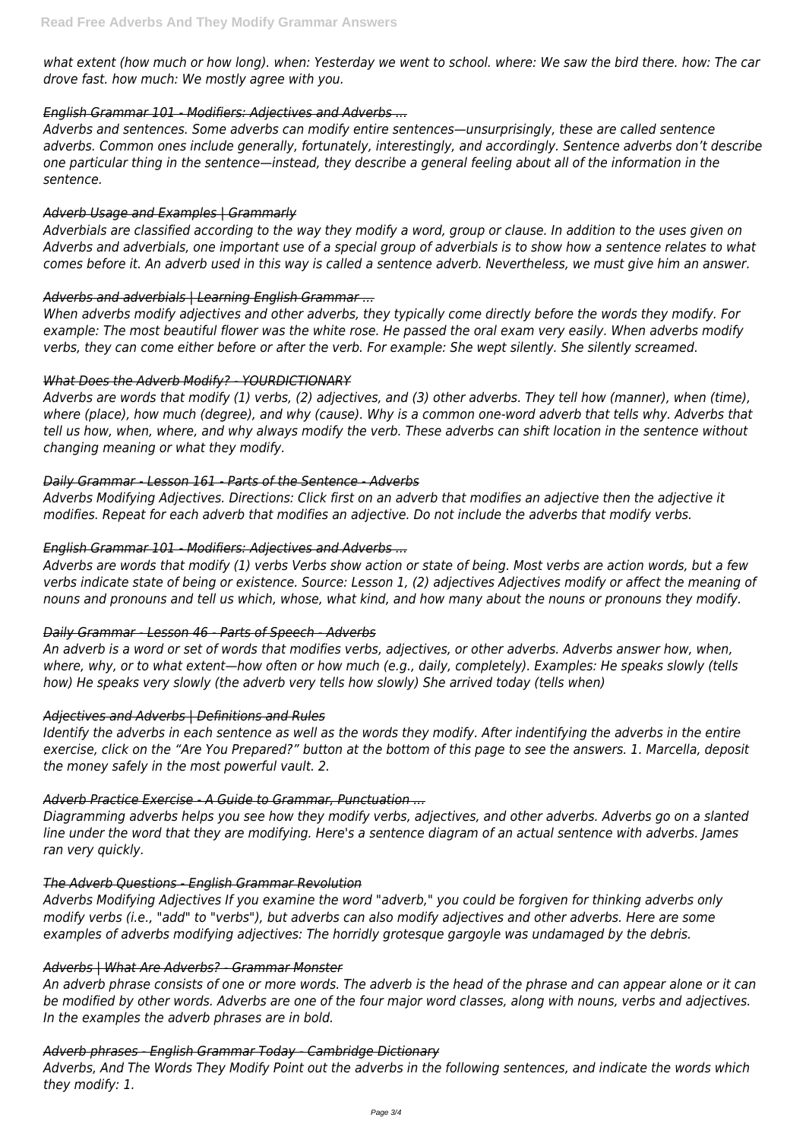*what extent (how much or how long). when: Yesterday we went to school. where: We saw the bird there. how: The car drove fast. how much: We mostly agree with you.*

## *English Grammar 101 - Modifiers: Adjectives and Adverbs ...*

*Adverbs and sentences. Some adverbs can modify entire sentences—unsurprisingly, these are called sentence adverbs. Common ones include generally, fortunately, interestingly, and accordingly. Sentence adverbs don't describe one particular thing in the sentence—instead, they describe a general feeling about all of the information in the sentence.*

## *Adverb Usage and Examples | Grammarly*

*Adverbials are classified according to the way they modify a word, group or clause. In addition to the uses given on Adverbs and adverbials, one important use of a special group of adverbials is to show how a sentence relates to what comes before it. An adverb used in this way is called a sentence adverb. Nevertheless, we must give him an answer.*

# *Adverbs and adverbials | Learning English Grammar ...*

*When adverbs modify adjectives and other adverbs, they typically come directly before the words they modify. For example: The most beautiful flower was the white rose. He passed the oral exam very easily. When adverbs modify verbs, they can come either before or after the verb. For example: She wept silently. She silently screamed.*

## *What Does the Adverb Modify? - YOURDICTIONARY*

*Adverbs are words that modify (1) verbs, (2) adjectives, and (3) other adverbs. They tell how (manner), when (time), where (place), how much (degree), and why (cause). Why is a common one-word adverb that tells why. Adverbs that tell us how, when, where, and why always modify the verb. These adverbs can shift location in the sentence without changing meaning or what they modify.*

#### *Daily Grammar - Lesson 161 - Parts of the Sentence - Adverbs*

*Adverbs Modifying Adjectives. Directions: Click first on an adverb that modifies an adjective then the adjective it modifies. Repeat for each adverb that modifies an adjective. Do not include the adverbs that modify verbs.*

# *English Grammar 101 - Modifiers: Adjectives and Adverbs ...*

*Adverbs are words that modify (1) verbs Verbs show action or state of being. Most verbs are action words, but a few verbs indicate state of being or existence. Source: Lesson 1, (2) adjectives Adjectives modify or affect the meaning of nouns and pronouns and tell us which, whose, what kind, and how many about the nouns or pronouns they modify.*

# *Daily Grammar - Lesson 46 - Parts of Speech - Adverbs*

*An adverb is a word or set of words that modifies verbs, adjectives, or other adverbs. Adverbs answer how, when,* where, why, or to what extent—how often or how much (e.g., daily, completely). Examples: He speaks slowly (tells *how) He speaks very slowly (the adverb very tells how slowly) She arrived today (tells when)*

# *Adjectives and Adverbs | Definitions and Rules*

*Identify the adverbs in each sentence as well as the words they modify. After indentifying the adverbs in the entire exercise, click on the "Are You Prepared?" button at the bottom of this page to see the answers. 1. Marcella, deposit the money safely in the most powerful vault. 2.*

# *Adverb Practice Exercise - A Guide to Grammar, Punctuation ...*

*Diagramming adverbs helps you see how they modify verbs, adjectives, and other adverbs. Adverbs go on a slanted line under the word that they are modifying. Here's a sentence diagram of an actual sentence with adverbs. James ran very quickly.*

#### *The Adverb Questions - English Grammar Revolution*

*Adverbs Modifying Adjectives If you examine the word "adverb," you could be forgiven for thinking adverbs only modify verbs (i.e., "add" to "verbs"), but adverbs can also modify adjectives and other adverbs. Here are some examples of adverbs modifying adjectives: The horridly grotesque gargoyle was undamaged by the debris.*

#### *Adverbs | What Are Adverbs? - Grammar Monster*

*An adverb phrase consists of one or more words. The adverb is the head of the phrase and can appear alone or it can be modified by other words. Adverbs are one of the four major word classes, along with nouns, verbs and adjectives. In the examples the adverb phrases are in bold.*

#### *Adverb phrases - English Grammar Today - Cambridge Dictionary*

*Adverbs, And The Words They Modify Point out the adverbs in the following sentences, and indicate the words which they modify: 1.*